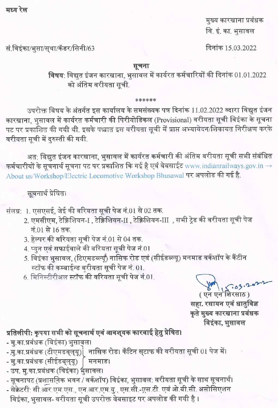मध्य रेल

मुख्य कारखाना प्रबंधक वि. इं. का. भुसावल

दिनांक 15.03.2022

सं.विइंका/भूसा/सुथा/कॅडर/सिनी/63

## सूचना

विषय: विद्युत इंजन कारखाना, भुसावल में कार्यरत कर्मचारियों की दिनांक 01.01.2022 को अंतिम वरीयता सुची.

## \*\*\*\*\*\*

उपरोक्त विषय के अंतर्गत इस कार्यालय के समसंख्यक पत्र दिनांक 11.02.2022 व्दारा विद्युत इंजन कारखाना. भसावल में कार्यरत कर्मचारी की पिरीयोडिकल (Provisional) वरीयता सूची विइंका के सूचना पट पर प्रकाशित की गयी थी. इसके पश्चात इस वरीयता सूची में प्राप्त अभ्यावेदन/शिकायत निरीक्षण करके वरीयता सूची में दुरुस्ती की गयी.

अत: विद्युत इंजन कारखाना, भुसावल में कार्यरत कर्मचारी की अंतिम वरीयता सूची सभी संबंधित कर्मचारीयों के सूचनार्थ सूचना पट पर प्रकाशित कि गई है एवं वेबसाईट www.indianrailways.gov.in  $\rightarrow$ About us/Workshop/Electric Locomotive Workshop Bhusawal पर अपलोड की गई है.

## सूचनार्थ प्रेषित।

संलग्न: 1. एसएसई, जेई की वरियता सूची पेज नं.01 से 02 तक.

- 2. एमसीएम, टेक्निशियन-I , टेक्निशियन-II , टेक्निशियन-III , सभी ट्रेड की वरीयता सूची पेज नं.01 से 16 तक.
- 3. हेल्पर की वरियता सूची पेज नं.01 से 04 तक.
- 4. प्युन एवं सफाईवाले की वरियता सूची पेज नं.01
- 5. विइंका भुसावल, (टिएमडब्ल्यूं) नासिक रोड एवं (सीईडब्ल्यू) मनमाड वर्कशॉप के कैंटीन स्टॉफ की कम्बाईन्ड वरीयता सूची पेज नं. 01.
- 6. मिनिस्टीरीअल स्टॉफ की वरियता सूची पेज नं.01.

( एन एन शिरसाठ )

सहा. रसायन एवं धातुविज्ञ कृते मुख्य कारखाना प्रबंधक विइंका, भुसावल

## प्रतिलीपी: कृपया सभी को सूचनार्थ एवं आवश्यक कारवाई हेतु प्रेषित।

- मु का प्रबंधक (विइंका) भुसावल।
- मु.का.प्रबंधक (टीएमडब्ल्यू) तासिक रोड। कँटिन स्टाफ की वरीयता सूची 01 पेज में।
- मु.का.प्रबंधक (सीईडब्ल्यू) मनमाड।
- उप. मु.का.प्रबंधक (विइंका) भुसावल।
- सूचनापट (प्रशासनिक भवन / वर्कशॉप) विइंका, भुसावल: वरीयता सूची के साथ सूचनार्थ।
- सेक्रेटरी: सी.आर.एम.एस., एन.आर.एम.यु., एस.सी.-एस.टी. एवं ओ.बी.सी. असोसिएशन विइंका, भुसावल- वरीयता सूची उपरोक्त वेबसाइट पर अपलोड की गयी है ।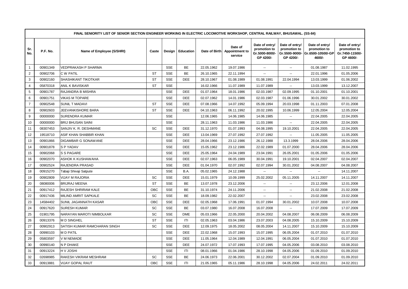|                | FINAL SENIORITY LIST OF SENIOR SECTION ENGINEER WORKING IN ELECTRIC LOCOMOTIVE WORKSHOP, CENTRAL RAILWAY, BHUSAWAL. (SS-84) |                              |           |            |                  |            |                                                    |                                                               |                                                               |                                                               |                                                                |  |  |  |
|----------------|-----------------------------------------------------------------------------------------------------------------------------|------------------------------|-----------|------------|------------------|------------|----------------------------------------------------|---------------------------------------------------------------|---------------------------------------------------------------|---------------------------------------------------------------|----------------------------------------------------------------|--|--|--|
| Sr.<br>No.     | P.F. No.                                                                                                                    | Name of Employee (S/SHRI)    | Caste     |            | Design Education |            | Date of<br>Date of Birth Appointment to<br>service | Date of entry/<br>promotion to<br>Gr.5000-8000/-<br>GP 4200/- | Date of entry/<br>promotion to<br>Gr.5500-9000/-<br>GP 4200/- | Date of entry/<br>promotion to<br>Gr.6500-10500/-GP<br>4600/- | Date of entry/<br>promotion to<br>Gr.7450-11500/-<br>GP 4600/- |  |  |  |
| $\mathbf{1}$   | 00901349                                                                                                                    | VEDPRAKASH P SHARMA          |           | <b>SSE</b> | <b>BE</b>        | 22.05.1962 | 19.07.1986                                         | $\sim$                                                        | $\overline{\phantom{a}}$                                      | 01.08.1987                                                    | 11.02.1995                                                     |  |  |  |
| $\overline{2}$ | 00902706                                                                                                                    | C W PATIL                    | ST        | <b>SSE</b> | BE               | 26.10.1965 | 22.11.1994                                         | $\sim$                                                        |                                                               | 22.01.1996                                                    | 01.05.2006                                                     |  |  |  |
| 3              | 00902160                                                                                                                    | SHASHIKANT TIKOTKAR          | <b>ST</b> | <b>SSE</b> | <b>DEE</b>       | 28.10.1967 | 01.08.1989                                         | 01.08.1991                                                    | 22.04.1994                                                    | 13.03.1999                                                    | 01.06.2002                                                     |  |  |  |
| $\overline{4}$ | 05870318                                                                                                                    | ANIL K BAVISKAR              | <b>ST</b> | <b>SSE</b> |                  | 16.02.1966 | 11.07.1989                                         | 11.07.1989                                                    | $\mathbf{L}$                                                  | 13.03.1999                                                    | 13.12.2007                                                     |  |  |  |
| 5              | 00901787                                                                                                                    | RAJANDRA B MISHRA            |           | <b>SSE</b> | <b>DEE</b>       | 01.07.1964 | 18.01.1986                                         | 02.03.1987                                                    | 02.09.1995                                                    | 01.10.2001                                                    | 01.10.2001                                                     |  |  |  |
| 6              | 00901751                                                                                                                    | <b>VIKAS M TOPARE</b>        |           | <b>SSE</b> | DEE              | 02.07.1962 | 14.01.1986                                         | 02.03.1987                                                    | 01.06.1996                                                    | 30.01.2002                                                    | 30.01.2002                                                     |  |  |  |
| $\overline{7}$ | 00902548                                                                                                                    | <b>SUNIL T MADAVI</b>        | <b>ST</b> | <b>SSE</b> | <b>DEE</b>       | 07.08.1966 | 14.07.1992                                         | 05.09.1994                                                    | 20.03.1998                                                    | 01.11.2003                                                    | 07.01.2008                                                     |  |  |  |
| 8              | 00902603                                                                                                                    | JEEVANKISHORE BARA           | <b>ST</b> | <b>SSE</b> | <b>DEE</b>       | 04.10.1963 | 06.11.1992                                         | 20.02.1995                                                    | 10.06.1999                                                    | 12.05.2004                                                    | 12.05.2004                                                     |  |  |  |
| 9              | 00000000                                                                                                                    | SURENDRA KUMAR               |           | <b>SSE</b> |                  | 12.06.1965 | 14.06.1985                                         | 14.06.1985                                                    | $\mathbf{u}$                                                  | 22.04.2005                                                    | 22.04.2005                                                     |  |  |  |
| 10             | 00000000                                                                                                                    | <b>BRIJ BHUSAN SAINI</b>     |           | <b>SSE</b> |                  | 28.11.1963 | 11.03.1986                                         | 11.03.1986                                                    | $\sim$                                                        | 22.04.2005                                                    | 22.04.2005                                                     |  |  |  |
| 11             | 08307453                                                                                                                    | SANJIV K. R. DESHMANE        | <b>SC</b> | <b>SSE</b> | <b>DEE</b>       | 31.12.1970 | 01.07.1993                                         | 04.08.1995                                                    | 19.10.2001                                                    | 22.04.2005                                                    | 22.04.2005                                                     |  |  |  |
| 12             | 19518710                                                                                                                    | ASIF KHAN SHABBIR KHAN       |           | <b>SSE</b> | <b>DEE</b>       | 13.04.1969 | 27.07.1992                                         | 27.07.1992                                                    | $\overline{\phantom{a}}$                                      | 11.05.2005                                                    | 11.05.2005                                                     |  |  |  |
| 13             | 00901866                                                                                                                    | DIGAMBAR G SONAWANE          |           | <b>SSE</b> | <b>DEE</b>       | 28.04.1966 | 23.12.1986                                         | 26.12.1988                                                    | 13.3.1999                                                     | 28.04.2006                                                    | 28.04.2006                                                     |  |  |  |
| 14             | 00901878                                                                                                                    | S P YADAV                    |           | <b>SSE</b> | <b>DEE</b>       | 15.05.1962 | 23.12.1986                                         | 22.02.1989                                                    | 01.07.2000                                                    | 28.04.2006                                                    | 28.04.2006                                                     |  |  |  |
| 15             | 00902068                                                                                                                    | S S PAGARE                   |           | <b>SSE</b> | <b>DEE</b>       | 25.05.1964 | 24.04.1989                                         | 23.04.1991                                                    | 26.05.2001                                                    | 01.05.2006                                                    | 01.05.2006                                                     |  |  |  |
| 16             | 00902070                                                                                                                    | ASHOK K KUSHAWAHA            |           | <b>SSE</b> | <b>DEE</b>       | 02.07.1963 | 06.05.1989                                         | 30.04.1991                                                    | 19.10.2001                                                    | 02.04.2007                                                    | 02.04.2007                                                     |  |  |  |
| 17             | 00902524                                                                                                                    | <b>RAJENDRA PRASAD</b>       |           | <b>SSE</b> | <b>DEE</b>       | 01.04.1970 | 02.07.1992                                         | 02.07.1994                                                    | 30.01.2002                                                    | 04.08.2007                                                    | 04.08.2007                                                     |  |  |  |
| 18             | 00915270                                                                                                                    | Tabaji Shivaji Satpute       |           | <b>SSE</b> | B.A.             | 05.02.1965 | 24.12.1988                                         | $\sim$                                                        | $\overline{\phantom{a}}$                                      | $\overline{\phantom{a}}$                                      | 14.11.2007                                                     |  |  |  |
| 19             | 00902809                                                                                                                    | <b>VIJAY M RAJORIA</b>       | SC        | <b>SSE</b> | DEE              | 15.01.1979 | 10.09.1999                                         | 25.02.2002                                                    | 05.11.2005                                                    | 14.11.2007                                                    | 14.11.2007                                                     |  |  |  |
| 20             | 08080006                                                                                                                    | <b>BRIJRAJ MEENA</b>         | <b>ST</b> | <b>SSE</b> | BE               | 13.07.1978 | 23.12.2006                                         | $\mathbf{u}$                                                  | $\overline{\phantom{a}}$                                      | 23.12.2006                                                    | 12.01.2008                                                     |  |  |  |
| 21             | 00917412                                                                                                                    | RAJESH SHRIRAM KALE          | OBC       | <b>SSE</b> | BE               | 31.10.1974 | 24.11.2006                                         | $\sim$ $\sim$                                                 | $\overline{\phantom{a}}$                                      | 21.02.2008                                                    | 21.02.2008                                                     |  |  |  |
| 22             | 00917436                                                                                                                    | MILIND AMRIT SAPKALE         | <b>SC</b> | <b>SSE</b> | <b>BE</b>        | 18.09.1982 | 22.02.2007                                         | $\sim$                                                        | $\mathbf{L}$                                                  | 23.02.2008                                                    | 23.02.2008                                                     |  |  |  |
| 23             | 14584402                                                                                                                    | SUNIL JAGANNATH KASAR        | OBC       | <b>SSE</b> | DEE              | 02.05.1968 | 17.06.1991                                         | 01.07.1994                                                    | 30.01.2002                                                    | 10.07.2008                                                    | 10.07.2008                                                     |  |  |  |
| 24             | 00917620                                                                                                                    | <b>SURESH KUMAR</b>          | SC        | <b>SSE</b> | <b>BE</b>        | 03.07.1980 | 16.07.2008                                         | 16.07.2008                                                    | $\overline{\phantom{a}}$                                      | 17.07.2009                                                    | 17.07.2009                                                     |  |  |  |
| 25             | 01901795                                                                                                                    | NARAYAN MAROTI NIMBOLKAR     | SC        | <b>SSE</b> | <b>DME</b>       | 05.03.1966 | 22.05.2000                                         | 20.04.2002                                                    | 04.08.2007                                                    | 06.08.2009                                                    | 06.08.2009                                                     |  |  |  |
| 26             | 00913376                                                                                                                    | <b>MD SINGHEL</b>            | <b>ST</b> | <b>SSE</b> | ITI              | 02.05.1963 | 03.04.1986                                         | 23.07.2003                                                    | 04.08.2005                                                    | 15.10.2009                                                    | 15.10.2009                                                     |  |  |  |
| 27             | 00902913                                                                                                                    | SATISH KUMAR RAMCHARAN SINGH | SC        | <b>SSE</b> | <b>DEE</b>       | 12.09.1975 | 18.05.2002                                         | 08.05.2004                                                    | 14.11.2007                                                    | 15.10.2009                                                    | 15.10.2009                                                     |  |  |  |
| 28             | 00990103                                                                                                                    | <b>MD PATIL</b>              |           | <b>SSE</b> | DEE              | 22.02.1968 | 15.07.1993                                         | 15.07.1995                                                    | 06.05.2004                                                    | 01.07.2010                                                    | 01.07.2010                                                     |  |  |  |
| 29             | 05803597                                                                                                                    | V M NEMADE                   |           | <b>SSE</b> | <b>DEE</b>       | 11.05.1964 | 12.04.1989                                         | 12.04.1991                                                    | 06.05.2004                                                    | 01.07.2010                                                    | 01.07.2010                                                     |  |  |  |
| 30             | 00990140                                                                                                                    | N P DHAKE                    |           | <b>SSE</b> | <b>DEE</b>       | 24.07.1972 | 17.07.1993                                         | 17.07.1995                                                    | 04.05.2006                                                    | 03.08.2010                                                    | 03.08.2010                                                     |  |  |  |
| 31             | 00913224                                                                                                                    | H V JOSHI                    |           | <b>SSE</b> | ITI              | 08.01.1966 | 01.04.1986                                         | 28.10.1998                                                    | 04.05.2006                                                    | 01.09.2010                                                    | 01.09.2010                                                     |  |  |  |
| 32             | 02698985                                                                                                                    | RAKESH VIKRAM MESHRAM        | SC        | <b>SSE</b> | BE               | 24.06.1973 | 22.06.2001                                         | 30.12.2002                                                    | 02.07.2004                                                    | 01.09.2010                                                    | 01.09.2010                                                     |  |  |  |
| 33             | 00913881                                                                                                                    | VIJAY GOPAL RAUT             | OBC       | <b>SSE</b> | T                | 21.05.1965 | 05.11.1986                                         | 28.10.1998                                                    | 04.05.2006                                                    | 24.02.2011                                                    | 24.02.2011                                                     |  |  |  |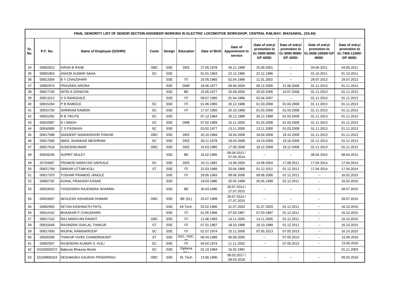|            | FINAL SENIORITY LIST OF SENIOR SECTION ENGINEER WORKING IN ELECTRIC LOCOMOTIVE WORKSHOP, CENTRAL RAILWAY, BHUSAWAL. (SS-84) |                            |            |            |            |               |                                             |                                                               |                                                               |                                                               |                                                                |  |  |  |
|------------|-----------------------------------------------------------------------------------------------------------------------------|----------------------------|------------|------------|------------|---------------|---------------------------------------------|---------------------------------------------------------------|---------------------------------------------------------------|---------------------------------------------------------------|----------------------------------------------------------------|--|--|--|
| Sr.<br>No. | P.F. No.                                                                                                                    | Name of Employee (S/SHRI)  | Caste      | Design     | Education  | Date of Birth | Date of<br><b>Appointment to</b><br>service | Date of entry/<br>promotion to<br>Gr.5000-8000/-<br>GP 4200/- | Date of entry/<br>promotion to<br>Gr.5500-9000/-<br>GP 4200/- | Date of entry/<br>promotion to<br>Gr.6500-10500/-GP<br>4600/- | Date of entry/<br>promotion to<br>Gr.7450-11500/-<br>GP 4600/- |  |  |  |
| 34         | 00902810                                                                                                                    | <b>KIRAN B RANE</b>        | <b>OBC</b> | <b>SSE</b> | <b>DEE</b> | 27.05.1978    | 26.11.1999                                  | 25.09.2001                                                    | $\mathbf{u}$                                                  | 04.06.2011                                                    | 04.06.2011                                                     |  |  |  |
| 35         | 00901854                                                                                                                    | ASHOK KUMAR SAHA           | SC         | <b>SSE</b> |            | 01.01.1963    | 22.12.1986                                  | 22.12.1986                                                    | $\mathbf{u}$                                                  | 01.10.2011                                                    | 01.10.2011                                                     |  |  |  |
| 36         | 00913364                                                                                                                    | <b>B Y CHAUDHARI</b>       |            | <b>SSE</b> | ITI        | 15.05.1965    | 02.04.1986                                  | 11.01.2002                                                    | $\overline{\phantom{a}}$                                      | 29.07.2013                                                    | 29.07.2013                                                     |  |  |  |
| 37         | 00902974                                                                                                                    | PRAVEEN ARORA              |            | <b>SSE</b> | <b>DME</b> | 18.06.1977    | 09.06.2004                                  | 09.12.2005                                                    | 21.06.2008                                                    | 01.11.2013                                                    | 01.11.2013                                                     |  |  |  |
| 38         | 00917230                                                                                                                    | <b>NITIN A SONICHA</b>     |            | <b>SSE</b> | <b>BE</b>  | 15.06.1977    | 25.09.2004                                  | 25.03.2006                                                    | 10.07.2008                                                    | 01.11.2013                                                    | 01.11.2013                                                     |  |  |  |
| 39         | 00913212                                                                                                                    | S S RANGDALE               |            | <b>SSE</b> | ITI        | 09.07.1965    | 01.04.1986                                  | 02.04.2007                                                    | $\sim$                                                        | 01.11.2013                                                    | 01.11.2013                                                     |  |  |  |
| 40         | 00915294                                                                                                                    | P B RAIBOLE                | SC         | <b>SSE</b> | ITI        | 01.06.1965    | 26.12.1988                                  | 01.03.2008                                                    | 01.03.2008                                                    | 01.11.2013                                                    | 01.11.2013                                                     |  |  |  |
| 41         | 00915750                                                                                                                    | SHRIRAM RAMDIN             | SC         | <b>SSE</b> | ITI        | 17.07.1965    | 25.10.1989                                  | 01.03.2008                                                    | 01.03.2008                                                    | 01.11.2013                                                    | 01.11.2013                                                     |  |  |  |
| 42         | 00915282                                                                                                                    | R B TIKUTE                 | SC         | <b>SSE</b> |            | 07.12.1964    | 26.12.1988                                  | 26.12.1988                                                    | 01.03.2008                                                    | 01.11.2013                                                    | 01.11.2013                                                     |  |  |  |
| 43         | 00916997                                                                                                                    | <b>DISINGH</b>             | SC         | <b>SSE</b> | <b>DME</b> | 07.02.1969    | 15.11.2000                                  | 01.03.2008                                                    | 01.03.2008                                                    | 01.11.2013                                                    | 01.11.2013                                                     |  |  |  |
| 44         | 00916985                                                                                                                    | C S PASWAN                 | SC         | <b>SSE</b> |            | 03.02.1977    | 13.11.2000                                  | 13.11.2000                                                    | 01.03.2008                                                    | 01.11.2013                                                    | 01.11.2013                                                     |  |  |  |
| 45         | 00917588                                                                                                                    | SANDEEP NANDKISHOR PAWAR   | OBC        | <b>SSE</b> | <b>DEE</b> | 20.10.1984    | 18.04.2008                                  | 18.04.2008                                                    | 19.10.2009                                                    | 01.11.2013                                                    | 01.11.2013                                                     |  |  |  |
| 46         | 00917590                                                                                                                    | AMOL SHANKAR MESHRAM       | SC         | <b>SSE</b> | <b>DEE</b> | 28.11.1978    | 18.04.2008                                  | 19.10.2009                                                    | 19.10.2009                                                    | 01.11.2013                                                    | 01.11.2013                                                     |  |  |  |
| 47         | 00917618                                                                                                                    | <b>SUKESHKUMAR</b>         | OBC        | <b>SSE</b> | <b>DEE</b> | 16.03.1985    | 17.06.2008                                  | 18.12.2009                                                    | 18.12.2009                                                    | 01.11.2013                                                    | 01.11.2013                                                     |  |  |  |
| 48         | 00918246                                                                                                                    | <b>SUPRIT MULEY</b>        |            | <b>SSE</b> | <b>BE</b>  | 16.02.1985    | 08.04.2013 /<br>07.04.2014                  | $\overline{\phantom{a}}$                                      | $\sim$                                                        | 08.04.2014                                                    | 08.04.2014                                                     |  |  |  |
| 49         | 02704067                                                                                                                    | PRAMOD NARAYAN SAPKALE     | SC         | <b>SSE</b> | <b>DEE</b> | 10.11.1981    | 14.08.2004                                  | 14.08.2004                                                    | 17.08.2011                                                    | 17.04.2014                                                    | 17.04.2014                                                     |  |  |  |
| 50         | 05821769                                                                                                                    | <b>DINKAR UTTAM KOLI</b>   | <b>ST</b>  | <b>SSE</b> | ITI        | 22.03.1968    | 20.04.1989                                  | 01.12.2011                                                    | 01.12.2011                                                    | 17.04.2014                                                    | 17.04.2014                                                     |  |  |  |
| 51         | 00917370                                                                                                                    | TUSHAR PRAMOD JANGLE       |            | <b>SSE</b> | ITI        | 29.05.1983    | 09.06.2006                                  | 09.06.2006                                                    | 01.12.2011                                                    | $\mathbf{L}$                                                  | 16.02.2015                                                     |  |  |  |
| 52         | 00902792                                                                                                                    | KUNAL PRAKASH KASAR        |            | <b>SSE</b> |            | 19.03.1980    | 20.05.1999                                  | 20.05.1999                                                    | 01.12.2011                                                    | $\overline{\phantom{a}}$                                      | 16.02.2015                                                     |  |  |  |
| 53         | 00919032                                                                                                                    | YOGENDRA RAJENDRA SHARMA   |            | SSE        | <b>BE</b>  | 30.03.1990    | 28.07.2014 /<br>27.07.2015                  | $\overline{\phantom{a}}$                                      | $\overline{\phantom{a}}$                                      | $\overline{a}$                                                | 28.07.2015                                                     |  |  |  |
| 54         | 00919007                                                                                                                    | AKHLESH ASHARAM DHIMAR     | <b>OBC</b> | <b>SSE</b> | BE (EL)    | 25.07.1989    | 28.07.2014 /<br>27.07.2015                  | $\ddotsc$                                                     | --                                                            | $\overline{\phantom{a}}$                                      | 28.07.2015                                                     |  |  |  |
| 55         | 00902950                                                                                                                    | KETAN KASHINATH PATIL      |            | <b>SSE</b> | Inf.Tech.  | 03.02.1985    | 31.07.2003                                  | 31.07.2003                                                    | 01.12.2011                                                    | $\overline{\phantom{a}}$                                      | 16.10.2015                                                     |  |  |  |
| 56         | 00914162                                                                                                                    | <b>BHASKAR P CHAUDHARI</b> |            | <b>SSE</b> | ITI        | 01.05.1966    | 07.03.1987                                  | 07.03.1987                                                    | 01.12.2011                                                    | $\overline{\phantom{a}}$                                      | 16.10.2015                                                     |  |  |  |
| 57         | 00917310                                                                                                                    | RAJ NARAYAN PANDIT         | OBC        | <b>SSE</b> | ITI        | 11.06.1983    | 14.11.2005                                  | 14.11.2005                                                    | 01.12.2011                                                    | $\overline{\phantom{a}}$                                      | 16.10.2015                                                     |  |  |  |
| 58         | 00915646                                                                                                                    | RAVINDRA SUKLAL THAKUR     | <b>ST</b>  | <b>SSE</b> | ITI        | 07.01.1967    | 18.10.1989                                  | 18.10.1989                                                    | 01.12.2011                                                    | $\overline{\phantom{a}}$                                      | 16.10.2015                                                     |  |  |  |
| 59         | 00917000                                                                                                                    | RAJPAL RAMSWROOP           | SC         | <b>SSE</b> | ITI        | 01.07.1974    | 15.11.2000                                  | 07.05.2013                                                    | 07.05.2013                                                    | $\overline{\phantom{a}}$                                      | 16.10.2015                                                     |  |  |  |
| 60         | 00828289                                                                                                                    | THAKUR VIVEK CHANDRAKANT   | <b>ST</b>  | <b>SSE</b> | SSC, HSC,  | 06.04.1986    | 06.09.2005                                  | $\mathbf{u}$                                                  | 07.05.2013                                                    | $\overline{\phantom{a}}$                                      | 15.06.2016                                                     |  |  |  |
| 61         | 00902937                                                                                                                    | RAJENDRA KUMAR S. KOLI     | SC         | <b>SSE</b> | ITI        | 04.02.1974    | 11.11.2002                                  | $\overline{\phantom{a}}$                                      | 07.05.2013                                                    | $\overline{\phantom{a}}$                                      | 15.06.2016                                                     |  |  |  |
| 62         | 53105655572                                                                                                                 | Baburao Bhaurao Borde      | SC         | <b>SSE</b> | Diploma    | 01.10.1964    | 16.02.1991                                  |                                                               |                                                               |                                                               | 01.11.2003                                                     |  |  |  |
| 63         | 01029800324                                                                                                                 | DESHMUKH GAURAV PRADIPRAO  | OBC        | <b>SSE</b> | M. Tech    | 13.06.1990    | 09.03.2017 /<br>08.03.2018                  | $\sim$                                                        | $\mathbf{u}$                                                  | $\sim$                                                        | 09.03.2018                                                     |  |  |  |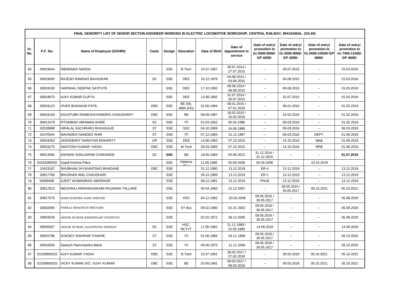|            | FINAL SENIORITY LIST OF SENIOR SECTION ENGINEER WORKING IN ELECTRIC LOCOMOTIVE WORKSHOP, CENTRAL RAILWAY, BHUSAWAL. (SS-84) |                                      |           |            |                      |               |                                      |                                                               |                                                               |                                                               |                                                                |  |  |  |
|------------|-----------------------------------------------------------------------------------------------------------------------------|--------------------------------------|-----------|------------|----------------------|---------------|--------------------------------------|---------------------------------------------------------------|---------------------------------------------------------------|---------------------------------------------------------------|----------------------------------------------------------------|--|--|--|
| Sr.<br>No. | P.F. No.                                                                                                                    | Name of Employee (S/SHRI)            | Caste     |            | Design   Education   | Date of Birth | Date of<br>Appointment to<br>service | Date of entry/<br>promotion to<br>Gr.5000-8000/-<br>GP 4200/- | Date of entry/<br>promotion to<br>Gr.5500-9000/-<br>GP 4200/- | Date of entry/<br>promotion to<br>Gr.6500-10500/-GP<br>4600/- | Date of entry/<br>promotion to<br>Gr.7450-11500/-<br>GP 4600/- |  |  |  |
| 64         | 00919044                                                                                                                    | SIBARAMA NANDA                       |           | <b>SSE</b> | <b>B.Tech</b>        | 15.07.1987    | 28.07.2014 /<br>27.07.2015           | $\overline{a}$                                                | 28.07.2015                                                    | $\sim$ $\sim$                                                 | 15.03.2018                                                     |  |  |  |
| 65         | 00919093                                                                                                                    | RAJESH RAMDAS BAVASKAR               | SC        | <b>SSE</b> | DEE                  | 16.12.1978    | 04.08.2014 /<br>03.08.2015           | $\overline{a}$                                                | 04.08.2015                                                    | $\mathbf{u}$                                                  | 15.03.2018                                                     |  |  |  |
| 66         | 00919100                                                                                                                    | HARSHAL DEEPAK SATPUTE               |           | <b>SSE</b> | <b>DEE</b>           | 17.10.1992    | 09.08.2014 /<br>08.08.2015           | $\mathbf{u}$                                                  | 09.08.2015                                                    | $\mathbf{u}$                                                  | 15.03.2018                                                     |  |  |  |
| 67         | 00919070                                                                                                                    | AJAY KUMAR GUPTA                     |           | <b>SSE</b> | <b>DEE</b>           | 13.08.1992    | 31.07.2014 /<br>30.07.2015           | $\mathbf{u}$                                                  | 31.07.2015                                                    | $\mathbf{u}$                                                  | 15.03.2018                                                     |  |  |  |
| 68         | 00919123                                                                                                                    | <b>VIVEK BHASKAR PATIL</b>           | OBC       | <b>SSE</b> | BE (M),<br>MBA (Fin) | 01.06.1984    | 08.01.2015 /<br>07.01.2016           | $\sim$                                                        | 08.01.2016                                                    | $\sim$ $\sim$                                                 | 01.02.2019                                                     |  |  |  |
| 69         | 00919159                                                                                                                    | KAUSTUBH RAMESHCHANDRA CHOUDHARY     | OBC       | <b>SSE</b> | <b>BE</b>            | 08.09.1987    | 16.02.2015 /<br>15.02.2016           | $\overline{\phantom{a}}$                                      | 16.02.2016                                                    | $\sim$ $\sim$                                                 | 01.02.2019                                                     |  |  |  |
| 70         | 00913479                                                                                                                    | PITAMBAR HIRAMAN AHIRE               | SC        | <b>SSE</b> | T                    | 01.03.1962    | 05.04.1986                           | $\sim$                                                        | 09.03.2016                                                    | $\sim$ $\sim$                                                 | 01.02.2019                                                     |  |  |  |
| 71         | 02528988                                                                                                                    | HIRALAL KACHRARU BHIVAGAJE           | <b>ST</b> | <b>SSE</b> | <b>SSC</b>           | 04.10.1969    | 24.06.1988                           | $\mathbf{u}$                                                  | 09.03.2016                                                    | $\mathbf{u}$                                                  | 06.03.2019                                                     |  |  |  |
| 72         | 02470044                                                                                                                    | MAHADEO NAMDEO AHIR                  | <b>ST</b> | <b>SSE</b> | T                    | 07.12.1964    | 31.12.1987                           | $\sim$                                                        | 09.03.2016                                                    | DEPT.                                                         | 01.06.2019                                                     |  |  |  |
| 73         | 00919263                                                                                                                    | JASHOBANT NARAYAN MOHANTY            | <b>UR</b> | <b>SSE</b> | DEE                  | 14.06.1983    | 07.10.2015                           | $\sim$                                                        | 14.10.2016                                                    | <b>RRB</b>                                                    | 01.06.2019                                                     |  |  |  |
| 74         | 00919275                                                                                                                    | SANTOSH KUMAR YADAV                  | OBC       | <b>SSE</b> | M.Tech               | 28.03.1985    | 07.10.2015                           | $\overline{\phantom{a}}$                                      | 14.10.2016                                                    | <b>RRB</b>                                                    | 01.06.2019                                                     |  |  |  |
| 75         | 06013582                                                                                                                    | ASHWIN SHALIGRAM CHAHANDE            | SC        | <b>SSE</b> | BE                   | 18.05.1984    | 05.08.2013                           | 31.12.2014 /<br>31.12.2015                                    | $\overline{a}$                                                | $\sim$ $\sim$                                                 | 01.07.2019                                                     |  |  |  |
| 76         | 53162080020                                                                                                                 | Gopal Krishna Patra                  |           | <b>SSE</b> | Diploma              | 11.05.1985    | 05.09.2008                           | 05.09.2008                                                    | $\mathbf{u}$                                                  | 23.10.2019                                                    |                                                                |  |  |  |
| 77         | 10423187                                                                                                                    | SHUBHAM JAYWANTRAO BHADANE           | OBC       | <b>SSE</b> |                      | 31.12.1990    | 13.12.2019                           | <b>ER-4</b>                                                   | 13.12.2019                                                    | u.                                                            | 13.12.2019                                                     |  |  |  |
| 78         | 00917760                                                                                                                    | <b>BHUSHAN ANIL CHAUDHARI</b>        |           | <b>SSE</b> |                      | 28.12.1989    | 13.12.2019                           | <b>ER-1</b>                                                   | 13.12.2019                                                    | $\sim$                                                        | 13.12.2019                                                     |  |  |  |
| 79         | 10008408                                                                                                                    | AJEET WAMANRAO AMODKAR               |           | <b>SSE</b> |                      | 08.12.1981    | 13.12.2019                           | PNUE                                                          | 13.12.2019                                                    | $\mathbb{Z}^{\mathbb{Z}}$                                     | 13.12.2019                                                     |  |  |  |
| 80         | 00917813                                                                                                                    | MEGHRAJ KRISHNASWAMI RAJANNA TALLARE |           | <b>SSE</b> |                      | 30.04.1985    | 21.12.2007                           | $\sim$                                                        | 09.05.2016 /<br>30.05.2017                                    | 05.10.2021                                                    | 05.10.2021                                                     |  |  |  |
| 81         | 00917576                                                                                                                    | HARICHANDRA HARI SARODE              |           | <b>SSE</b> | <b>HSC</b>           | 04.12.1982    | .03.03.2008                          | 09.05.2016 /<br>30.05.2017                                    | $\overline{a}$                                                | $\overline{\phantom{a}}$                                      | 05.08.2020                                                     |  |  |  |
| 82         | 00902895                                                                                                                    | PANKAJ BHAGWAN BHUSARI               |           | <b>SSE</b> | SY Bsc               | 09.02.1980    | 01.01.2002                           | 09.05.2016 /<br>30.05.2017                                    | ٠.                                                            | $\overline{\phantom{a}}$                                      | 05.08.2020                                                     |  |  |  |
| 83         | 20603526                                                                                                                    | ASHOK KUMAR RAMSINGAR UPADHYAY       |           | <b>SSE</b> |                      | 02.02.1972    | 06.12.2005                           | 09.05.2016 /<br>30.05.2017                                    | ٠.                                                            | $\sim$ $\sim$                                                 | 05.08.2020                                                     |  |  |  |
| 84         | 08055567                                                                                                                    | ASHOK KUMAR JAGANNATH SHIRSAT        | SC        | <b>SSE</b> | HSC,<br><b>NCTVT</b> | 17.06.1962    | 21.11.1989 /<br>22.05.1990           | 14.09.2018                                                    | ٠.                                                            | $\sim$ $\sim$                                                 | 14.09.2020                                                     |  |  |  |
| 85         | 00915798                                                                                                                    | <b>SUKDEV SHIVRAM THAKRE</b>         | <b>ST</b> | <b>SSE</b> | ITI                  | 01.06.1966    | 04.11.1989                           | 09.05.2016 /<br>30.05.2017                                    | ٠.                                                            | $\overline{a}$                                                | 28.10.2020                                                     |  |  |  |
| 86         | 00916950                                                                                                                    | Santosh Ramchandra Bekal             | <b>ST</b> | <b>SSE</b> | T                    | 09.06.1975    | 11.11.2000                           | 09.05.2016 /<br>30.05.2017                                    | --                                                            | ۰.                                                            | 28.10.2020                                                     |  |  |  |
| 87         | 01029800322                                                                                                                 | <b>AJAY KUMAR YADAV</b>              | OBC       | SSE        | <b>B.Tech</b>        | 15.07.1991    | 28.02.2017 /<br>27.02.2018           | $\mathbf{u}$                                                  | 28.02.2018                                                    | 05.10.2021                                                    | 05.10.2021                                                     |  |  |  |
| 88         | 01029800325                                                                                                                 | VICKY KUMAR S/O, VIJAY KUMAR         | OBC       | <b>SSE</b> | <b>BE</b>            | 20.09.1991    | 09.03.2017 /<br>08.03.2018           | $\overline{a}$                                                | 09.03.2018                                                    | 05.10.2021                                                    | 05.10.2021                                                     |  |  |  |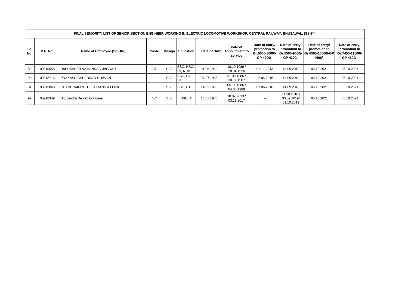|            | FINAL SENIORITY LIST OF SENIOR SECTION ENGINEER WORKING IN ELECTRIC LOCOMOTIVE WORKSHOP, CENTRAL RAILWAY, BHUSAWAL. (SS-84) |                                     |           |            |                    |               |                                      |                                                               |                                             |                                                                              |                                                                |  |  |  |  |
|------------|-----------------------------------------------------------------------------------------------------------------------------|-------------------------------------|-----------|------------|--------------------|---------------|--------------------------------------|---------------------------------------------------------------|---------------------------------------------|------------------------------------------------------------------------------|----------------------------------------------------------------|--|--|--|--|
| Sr.<br>No. | P.F. No.                                                                                                                    | Name of Employee (S/SHRI)           | Caste     |            | Design   Education | Date of Birth | Date of<br>Appointment to<br>service | Date of entry/<br>promotion to<br>Gr.5000-8000/-<br>GP 4200/- | Date of entry/<br>promotion to<br>GP 4200/- | Date of entry/<br>promotion to<br>Gr.5500-9000/- Gr.6500-10500/-GP<br>4600/- | Date of entry/<br>promotion to<br>Gr.7450-11500/-<br>GP 4600/- |  |  |  |  |
| 89         | 00915658                                                                                                                    | BAPUSAHEB VAMANRAO JAGDALE          | <b>ST</b> | <b>SSE</b> | SSC, HSC,<br>NCVT  | 01.06.1963    | 18.10.1989 /<br>18.04.1990           | 01.11.2013                                                    | 14.09.2018                                  | 05.10.2021                                                                   | 05.10.2021                                                     |  |  |  |  |
| 90         | 00913716                                                                                                                    | <b>PRAKASH SAHEBRAO CHAVAN</b>      |           | <b>SSE</b> | SSC, BA,           | 07.07.1966    | 31.05.1986 /<br>30.11.1987           | 22.04.2016                                                    | 14.09.2018                                  | 05.10.2021                                                                   | 05.10.2021                                                     |  |  |  |  |
| 91         | 00913868                                                                                                                    | <b>CHANDRAKANT DEOCHAND ATTARDE</b> |           | <b>SSE</b> | SSC, ITI           | 14.02.1966    | 05.11.1986 /<br>04.05.1988           | 01.06.2016                                                    | 14.09.2018                                  | 05.10.2021                                                                   | 05.10.2021                                                     |  |  |  |  |
| 92         | 00918349                                                                                                                    | Bhupendra Deorao Gondane            | <b>SC</b> | <b>SSE</b> | SSC/ITI            | 16.01.1986    | 18.07.2013 /<br>03.11.2017           | $- -$                                                         | 01.10.2018 /<br>30.09.2019/<br>01.10.2019   | 05.10.2021                                                                   | 05.10.2021                                                     |  |  |  |  |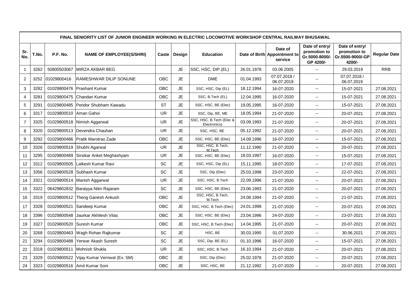|                  | FINAL SENIORITY LIST OF JUNIOR ENGINEER WORKING IN ELECTRIC LOCOMOTIVE WORKSHOP CENTRAL RAILWAY BHUSAWAL |             |                                    |            |           |                                          |            |                                                    |                                                               |                                                              |                     |  |  |  |
|------------------|----------------------------------------------------------------------------------------------------------|-------------|------------------------------------|------------|-----------|------------------------------------------|------------|----------------------------------------------------|---------------------------------------------------------------|--------------------------------------------------------------|---------------------|--|--|--|
| Sr.<br>No.       | T.No.                                                                                                    | P.F. No.    | <b>NAME OF EMPLOYEE(S/SHRI)</b>    | Caste      | Design    | <b>Education</b>                         |            | Date of<br>Date of Birth Appointment to<br>service | Date of entry/<br>promotion to<br>Gr.5000-8000/-<br>GP 4200/- | Date of entry/<br>promotion to<br>Gr.5500-9000/-GP<br>4200/- | <b>Regular Date</b> |  |  |  |
| $\overline{1}$   | 3262                                                                                                     | 50800503067 | MIRZA AKBAR BEG                    |            | <b>JE</b> | SSC, HSC, DIP.(EL)                       | 26.01.1978 | 03.06.2005                                         | $\sim$                                                        | 29.03.2019                                                   | <b>RRB</b>          |  |  |  |
| $\overline{2}$   | 3252                                                                                                     | 01029800416 | <b>IRAMESHWAR DILIP SONUNE</b>     | <b>OBC</b> | <b>JE</b> | <b>DME</b>                               | 01.04.1993 | 07.07.2018 /<br>06.07.2019                         | $\overline{\phantom{a}}$                                      | 07.07.2018 /<br>06.07.2019                                   |                     |  |  |  |
| 3                | 3282                                                                                                     | 01029800476 | <b>Prashant Kumar</b>              | <b>OBC</b> | <b>JE</b> | SSC, HSC, Dip (EL)                       | 18.12.1994 | 16-07-2020                                         | $\overline{\phantom{a}}$                                      | 15-07-2021                                                   | 27.08.2021          |  |  |  |
| 4                | 3281                                                                                                     | 01029800475 | IChandan Kumar                     | <b>OBC</b> | <b>JE</b> | SSC, B.Tech (EL)                         | 12.04.1995 | 16-07-2020                                         | $\mathbb{H}^{\mathbb{H}}$                                     | 15-07-2021                                                   | 27.08.2021          |  |  |  |
| 5                | 3291                                                                                                     | 01029800485 | <b>Pendor Shubham Kawadu</b>       | <b>ST</b>  | <b>JE</b> | SSC, HSC, BE (Elec)                      | 19.05.1995 | 16-07-2020                                         | $\overline{\phantom{a}}$                                      | 15-07-2021                                                   | 27.08.2021          |  |  |  |
| $\,6\,$          | 3317                                                                                                     | 01029800510 | Aman Gahoi                         | UR.        | <b>JE</b> | SSC, Dip, BE, ME                         | 18.05.1994 | 21-07-2020                                         | $\sim$                                                        | 20-07-2021                                                   | 27.08.2021          |  |  |  |
| $\overline{7}$   | 3325                                                                                                     |             | 01029800518 Nimish Aggarwal        | <b>UR</b>  | <b>JE</b> | SSC, HSC, B.Tech (Elec &<br>Electronics) | 03.09.1993 | 21-07-2020                                         | $\overline{\phantom{a}}$                                      | 20-07-2021                                                   | 27.08.2021          |  |  |  |
| 8                | 3320                                                                                                     |             | 01029800513   Devendra Chauhan     | <b>UR</b>  | JE        | SSC, HSC, BE                             | 05.12.1992 | 21-07-2020                                         | $\mathbf{u}$                                                  | 20-07-2021                                                   | 27.08.2021          |  |  |  |
| $\boldsymbol{9}$ | 3292                                                                                                     | 01029800486 | Pratik Marotrao Zade               | OBC        | <b>JE</b> | SSC, HSC, BE (Elec)                      | 14.09.1996 | 16-07-2020                                         | $\sim$                                                        | 15-07-2021                                                   | 27.08.2021          |  |  |  |
| $10$             | 3326                                                                                                     |             | 01029800519 Shubhi Agarwal         | UR         | <b>JE</b> | SSC, HSC, B.Tech,<br>M.Tech              | 11.12.1990 | 21-07-2020                                         | ۰.                                                            | 20-07-2021                                                   | 27.08.2021          |  |  |  |
| 11               | 3295                                                                                                     | 01029800489 | Sirsikar Anket Meghashyam          | UR         | <b>JE</b> | SSC, HSC, BE (Elec)                      | 18.03.1997 | 16-07-2020                                         | $\mathbf{u}$                                                  | 15-07-2021                                                   | 27.08.2021          |  |  |  |
| 12               | 3312                                                                                                     | 01029800505 | Lalkesh Kumar Ravi                 | <b>SC</b>  | <b>JE</b> | SSC, HSC, Dip (EL)                       | 15.11.1995 | 18-07-2020                                         | $\mathcal{L}_{\mathcal{F}}$                                   | 17-07-2021                                                   | 27.08.2021          |  |  |  |
| 13               | 3356                                                                                                     | 01029800528 | Subhash Kumar                      | <b>SC</b>  | <b>JE</b> | SSC, Dip (Elec)                          | 25.03.1998 | 23-07-2020                                         | $\overline{\phantom{a}}$                                      | 22-07-2021                                                   | 27.08.2021          |  |  |  |
| 14               | 3321                                                                                                     | 01029800514 | Manish Aggarwal                    | <b>UR</b>  | <b>JE</b> | SSC, HSC, B.Tech                         | 22.09.1996 | 21-07-2020                                         | $\sim$ $\sim$                                                 | 20-07-2021                                                   | 27.08.2021          |  |  |  |
| 15               | 3322                                                                                                     |             | 06429802832 Baraiyya Nitin Rajaram | SC         | <b>JE</b> | SSC, HSC, BE (Elec)                      | 23.06.1993 | 21-07-2020                                         | $\sim$ $\sim$                                                 | 20-07-2021                                                   | 27.08.2021          |  |  |  |
| 16               | 3319                                                                                                     | 01029800512 | Theng Ganesh Ankush                | <b>OBC</b> | <b>JE</b> | SSC, HSC, B.Tech,<br>M.Tech              | 24.08.1994 | 21-07-2020                                         | $\sim$                                                        | 21-07-2021                                                   | 27.08.2021          |  |  |  |
| 17               | 3328                                                                                                     | 01029800521 | Sandeep Kumar                      | <b>OBC</b> | <b>JE</b> | SSC, HSC, B.Tech (Elec)                  | 24.01.1998 | 21-07-2020                                         | $\overline{\phantom{a}}$                                      | 20-07-2021                                                   | 27.08.2021          |  |  |  |
| 18               | 3396                                                                                                     | 01029800548 | Jaurkar Akhilesh Vilas             | <b>OBC</b> | <b>JE</b> | SSC, HSC, BE (Elec)                      | 23.04.1996 | 24-07-2020                                         | $\mathbf{u}$                                                  | 23-07-2021                                                   | 27.08.2021          |  |  |  |
| 19               | 3327                                                                                                     | 01029800520 | Suresh Kumar                       | OBC        | <b>JE</b> | SSC, HSC, B.Tech (Elec)                  | 14.04.1995 | 21-07-2020                                         | $\overline{\phantom{a}}$                                      | 20-07-2021                                                   | 27.08.2021          |  |  |  |
| 20               | 3268                                                                                                     |             | 01029800463 Wagh Rohan Rajkumar    | SC         | <b>JE</b> | HSC, BE                                  | 30.03.1995 | 01.07.2020                                         | $\overline{\phantom{a}}$                                      | 30.06.2021                                                   | 27.08.2021          |  |  |  |
| 21               | 3294                                                                                                     | 01029800488 | Yerwar Akash Suresh                | SC         | <b>JE</b> | SSC, Dip, BE (EL)                        | 01.10.1996 | 16-07-2020                                         | $\sim$ $\sim$                                                 | 15-07-2021                                                   | 27.08.2021          |  |  |  |
| 22               | 3318                                                                                                     | 01029800511 | Mohnish Shukla                     | <b>UR</b>  | <b>JE</b> | SSC, HSC, B.Tech                         | 16.10.1994 | 21-07-2020                                         | $\overline{\phantom{a}}$                                      | 20-07-2021                                                   | 27.08.2021          |  |  |  |
| 23               | 3329                                                                                                     | 01029800522 | Vijay Kumar Vernwal (Ex. SM)       | OBC        | <b>JE</b> | SSC, Dip (Elec)                          | 25.02.1978 | 21-07-2020                                         | $\overline{\phantom{a}}$                                      | 20-07-2021                                                   | 27.08.2021          |  |  |  |
| 24               | 3323                                                                                                     |             | 01029800516 Amit Kumar Soni        | <b>OBC</b> | <b>JE</b> | SSC, HSC, BE                             | 21.12.1992 | 21-07-2020                                         | $\mathcal{L}_{\mathcal{F}}$                                   | 20-07-2021                                                   | 27.08.2021          |  |  |  |